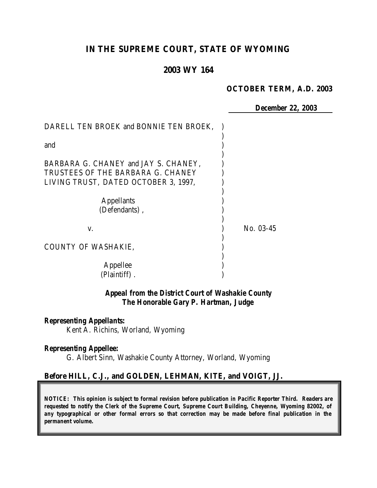# **IN THE SUPREME COURT, STATE OF WYOMING**

# **2003 WY 164**

#### **OCTOBER TERM, A.D. 2003**

*December 22, 2003*

| DARELL TEN BROEK and BONNIE TEN BROEK, |           |
|----------------------------------------|-----------|
| and                                    |           |
| BARBARA G. CHANEY and JAY S. CHANEY,   |           |
| TRUSTEES OF THE BARBARA G. CHANEY      |           |
| LIVING TRUST, DATED OCTOBER 3, 1997,   |           |
| <b>Appellants</b>                      |           |
| (Defendants),                          |           |
| V.                                     | No. 03-45 |
| <b>COUNTY OF WASHAKIE,</b>             |           |
| Appellee                               |           |
| (Plaintiff).                           |           |

# *Appeal from the District Court of Washakie County The Honorable Gary P. Hartman, Judge*

#### *Representing Appellants:*

Kent A. Richins, Worland, Wyoming

#### *Representing Appellee:*

G. Albert Sinn, Washakie County Attorney, Worland, Wyoming

### **Before HILL, C.J., and GOLDEN, LEHMAN, KITE, and VOIGT, JJ.**

*NOTICE: This opinion is subject to formal revision before publication in Pacific Reporter Third. Readers are requested to notify the Clerk of the Supreme Court, Supreme Court Building, Cheyenne, Wyoming 82002, of any typographical or other formal errors so that correction may be made before final publication in the permanent volume.*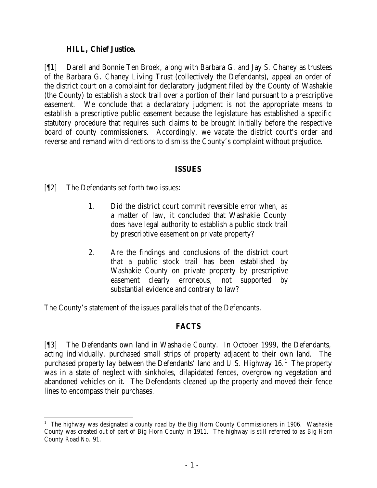### **HILL, Chief Justice.**

[¶1] Darell and Bonnie Ten Broek, along with Barbara G. and Jay S. Chaney as trustees of the Barbara G. Chaney Living Trust (collectively the Defendants), appeal an order of the district court on a complaint for declaratory judgment filed by the County of Washakie (the County) to establish a stock trail over a portion of their land pursuant to a prescriptive easement. We conclude that a declaratory judgment is not the appropriate means to establish a prescriptive public easement because the legislature has established a specific statutory procedure that requires such claims to be brought initially before the respective board of county commissioners. Accordingly, we vacate the district court's order and reverse and remand with directions to dismiss the County's complaint without prejudice.

## **ISSUES**

[¶2] The Defendants set forth two issues:

- 1. Did the district court commit reversible error when, as a matter of law, it concluded that Washakie County does have legal authority to establish a public stock trail by prescriptive easement on private property?
- 2. Are the findings and conclusions of the district court that a public stock trail has been established by Washakie County on private property by prescriptive easement clearly erroneous, not supported by substantial evidence and contrary to law?

The County's statement of the issues parallels that of the Defendants.

## **FACTS**

[¶3] The Defendants own land in Washakie County. In October 1999, the Defendants, acting individually, purchased small strips of property adjacent to their own land. The purchased property lay between the Defendants' land and U.S. Highway  $16<sup>1</sup>$  The property was in a state of neglect with sinkholes, dilapidated fences, overgrowing vegetation and abandoned vehicles on it. The Defendants cleaned up the property and moved their fence lines to encompass their purchases.

 <sup>1</sup> The highway was designated a county road by the Big Horn County Commissioners in 1906. Washakie County was created out of part of Big Horn County in 1911. The highway is still referred to as Big Horn County Road No. 91.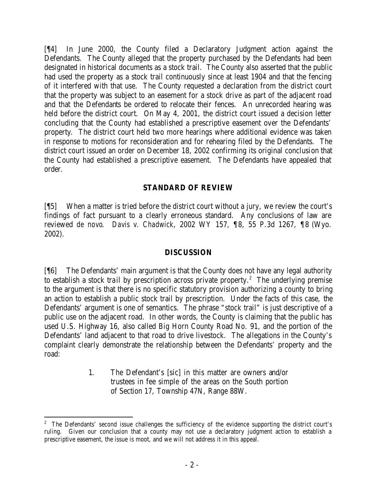[¶4] In June 2000, the County filed a Declaratory Judgment action against the Defendants. The County alleged that the property purchased by the Defendants had been designated in historical documents as a stock trail. The County also asserted that the public had used the property as a stock trail continuously since at least 1904 and that the fencing of it interfered with that use. The County requested a declaration from the district court that the property was subject to an easement for a stock drive as part of the adjacent road and that the Defendants be ordered to relocate their fences. An unrecorded hearing was held before the district court. On May 4, 2001, the district court issued a decision letter concluding that the County had established a prescriptive easement over the Defendants' property. The district court held two more hearings where additional evidence was taken in response to motions for reconsideration and for rehearing filed by the Defendants. The district court issued an order on December 18, 2002 confirming its original conclusion that the County had established a prescriptive easement. The Defendants have appealed that order.

## **STANDARD OF REVIEW**

[¶5] When a matter is tried before the district court without a jury, we review the court's findings of fact pursuant to a clearly erroneous standard. Any conclusions of law are reviewed *de novo*. *Davis v. Chadwick*, 2002 WY 157, ¶8, 55 P.3d 1267, ¶8 (Wyo. 2002).

### **DISCUSSION**

[¶6] The Defendants' main argument is that the County does not have any legal authority to establish a stock trail by prescription across private property.<sup>2</sup> The underlying premise to the argument is that there is no specific statutory provision authorizing a county to bring an action to establish a public stock trail by prescription. Under the facts of this case, the Defendants' argument is one of semantics. The phrase "stock trail" is just descriptive of a public use on the adjacent road. In other words, the County is claiming that the public has used U.S. Highway 16, also called Big Horn County Road No. 91, and the portion of the Defendants' land adjacent to that road to drive livestock. The allegations in the County's complaint clearly demonstrate the relationship between the Defendants' property and the road:

> 1. The Defendant's [sic] in this matter are owners and/or trustees in fee simple of the areas on the South portion of Section 17, Township 47N, Range 88W.

 <sup>2</sup> The Defendants' second issue challenges the sufficiency of the evidence supporting the district court's ruling. Given our conclusion that a county may not use a declaratory judgment action to establish a prescriptive easement, the issue is moot, and we will not address it in this appeal.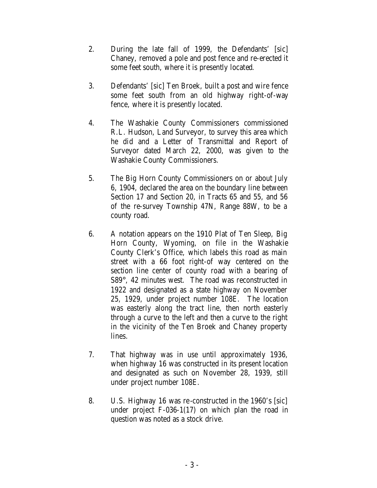- 2. During the late fall of 1999, the Defendants' [sic] Chaney, removed a pole and post fence and re-erected it some feet south, where it is presently located.
- 3. Defendants' [sic] Ten Broek, built a post and wire fence some feet south from an old highway right-of-way fence, where it is presently located.
- 4. The Washakie County Commissioners commissioned R.L. Hudson, Land Surveyor, to survey this area which he did and a Letter of Transmittal and Report of Surveyor dated March 22, 2000, was given to the Washakie County Commissioners.
- 5. The Big Horn County Commissioners on or about July 6, 1904, declared the area on the boundary line between Section 17 and Section 20, in Tracts 65 and 55, and 56 of the re-survey Township 47N, Range 88W, to be a county road.
- 6. A notation appears on the 1910 Plat of Ten Sleep, Big Horn County, Wyoming, on file in the Washakie County Clerk's Office, which labels this road as main street with a 66 foot right-of way centered on the section line center of county road with a bearing of S89°, 42 minutes west. The road was reconstructed in 1922 and designated as a state highway on November 25, 1929, under project number 108E. The location was easterly along the tract line, then north easterly through a curve to the left and then a curve to the right in the vicinity of the Ten Broek and Chaney property lines.
- 7. That highway was in use until approximately 1936, when highway 16 was constructed in its present location and designated as such on November 28, 1939, still under project number 108E.
- 8. U.S. Highway 16 was re-constructed in the 1960's [sic] under project F-036-1(17) on which plan the road in question was noted as a stock drive.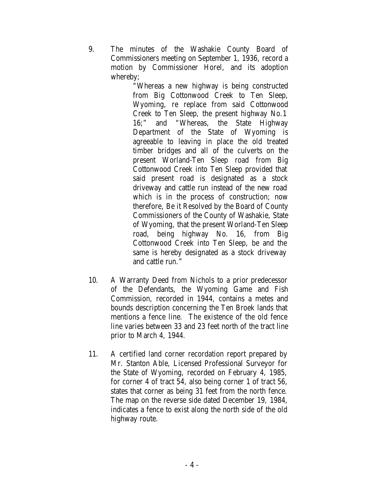9. The minutes of the Washakie County Board of Commissioners meeting on September 1, 1936, record a motion by Commissioner Horel, and its adoption whereby;

"Whereas a new highway is being constructed from Big Cottonwood Creek to Ten Sleep, Wyoming, re replace from said Cottonwood Creek to Ten Sleep, the present highway No.1 16;" and "Whereas, the State Highway Department of the State of Wyoming is agreeable to leaving in place the old treated timber bridges and all of the culverts on the present Worland-Ten Sleep road from Big Cottonwood Creek into Ten Sleep provided that said present road is designated as a stock driveway and cattle run instead of the new road which is in the process of construction; now therefore, Be it Resolved by the Board of County Commissioners of the County of Washakie, State of Wyoming, that the present Worland-Ten Sleep road, being highway No. 16, from Big Cottonwood Creek into Ten Sleep, be and the same is hereby designated as a stock driveway and cattle run."

- 10. A Warranty Deed from Nichols to a prior predecessor of the Defendants, the Wyoming Game and Fish Commission, recorded in 1944, contains a metes and bounds description concerning the Ten Broek lands that mentions a fence line. The existence of the old fence line varies between 33 and 23 feet north of the tract line prior to March 4, 1944.
- 11. A certified land corner recordation report prepared by Mr. Stanton Able, Licensed Professional Surveyor for the State of Wyoming, recorded on February 4, 1985, for corner 4 of tract 54, also being corner 1 of tract 56, states that corner as being 31 feet from the north fence. The map on the reverse side dated December 19, 1984, indicates a fence to exist along the north side of the old highway route.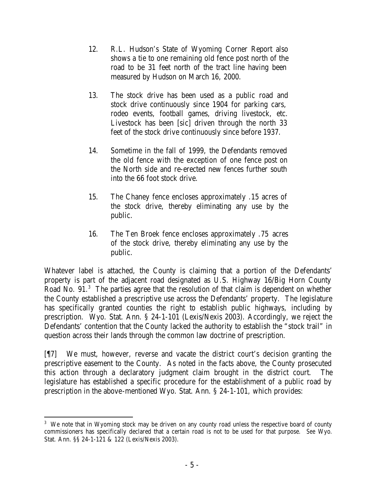- 12. R.L. Hudson's State of Wyoming Corner Report also shows a tie to one remaining old fence post north of the road to be 31 feet north of the tract line having been measured by Hudson on March 16, 2000.
- 13. The stock drive has been used as a public road and stock drive continuously since 1904 for parking cars, rodeo events, football games, driving livestock, etc. Livestock has been [sic] driven through the north 33 feet of the stock drive continuously since before 1937.
- 14. Sometime in the fall of 1999, the Defendants removed the old fence with the exception of one fence post on the North side and re-erected new fences further south into the 66 foot stock drive.
- 15. The Chaney fence encloses approximately .15 acres of the stock drive, thereby eliminating any use by the public.
- 16. The Ten Broek fence encloses approximately .75 acres of the stock drive, thereby eliminating any use by the public.

Whatever label is attached, the County is claiming that a portion of the Defendants' property is part of the adjacent road designated as U.S. Highway 16/Big Horn County Road No. 91.<sup>3</sup> The parties agree that the resolution of that claim is dependent on whether the County established a prescriptive use across the Defendants' property. The legislature has specifically granted counties the right to establish public highways, including by prescription. Wyo. Stat. Ann. § 24-1-101 (Lexis/Nexis 2003). Accordingly, we reject the Defendants' contention that the County lacked the authority to establish the "stock trail" in question across their lands through the common law doctrine of prescription.

[¶7] We must, however, reverse and vacate the district court's decision granting the prescriptive easement to the County. As noted in the facts above, the County prosecuted this action through a declaratory judgment claim brought in the district court. The legislature has established a specific procedure for the establishment of a public road by prescription in the above-mentioned Wyo. Stat. Ann. § 24-1-101, which provides:

 <sup>3</sup> We note that in Wyoming stock may be driven on any county road unless the respective board of county commissioners has specifically declared that a certain road is not to be used for that purpose. *See* Wyo. Stat. Ann. §§ 24-1-121 & 122 (Lexis/Nexis 2003).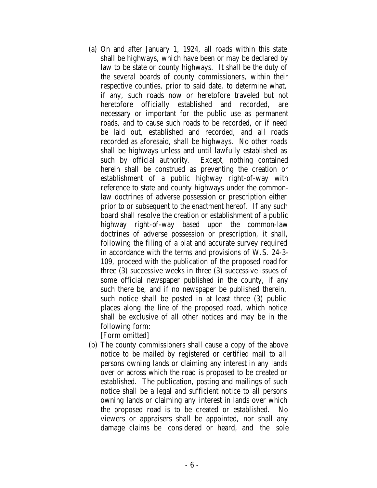(a) On and after January 1, 1924, all roads within this state shall be highways, which have been or may be declared by law to be state or county highways. It shall be the duty of the several boards of county commissioners, within their respective counties, prior to said date, to determine what, if any, such roads now or heretofore traveled but not heretofore officially established and recorded, are necessary or important for the public use as permanent roads, and to cause such roads to be recorded, or if need be laid out, established and recorded, and all roads recorded as aforesaid, shall be highways. No other roads shall be highways unless and until lawfully established as such by official authority. Except, nothing contained herein shall be construed as preventing the creation or establishment of a public highway right-of-way with reference to state and county highways under the commonlaw doctrines of adverse possession or prescription either prior to or subsequent to the enactment hereof. If any such board shall resolve the creation or establishment of a public highway right-of-way based upon the common-law doctrines of adverse possession or prescription, it shall, following the filing of a plat and accurate survey required in accordance with the terms and provisions of W.S. 24-3- 109, proceed with the publication of the proposed road for three (3) successive weeks in three (3) successive issues of some official newspaper published in the county, if any such there be, and if no newspaper be published therein, such notice shall be posted in at least three (3) public places along the line of the proposed road, which notice shall be exclusive of all other notices and may be in the following form:

[Form omitted]

(b) The county commissioners shall cause a copy of the above notice to be mailed by registered or certified mail to all persons owning lands or claiming any interest in any lands over or across which the road is proposed to be created or established. The publication, posting and mailings of such notice shall be a legal and sufficient notice to all persons owning lands or claiming any interest in lands over which the proposed road is to be created or established. No viewers or appraisers shall be appointed, nor shall any damage claims be considered or heard, and the sole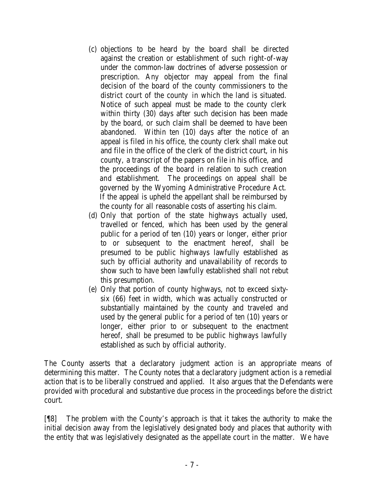- (c) objections to be heard by the board shall be directed against the creation or establishment of such right-of-way under the common-law doctrines of adverse possession or prescription. Any objector may appeal from the final decision of the board of the county commissioners to the district court of the county in which the land is situated. Notice of such appeal must be made to the county clerk within thirty (30) days after such decision has been made by the board, or such claim shall be deemed to have been abandoned. Within ten (10) days after the notice of an appeal is filed in his office, the county clerk shall make out and file in the office of the clerk of the district court, in his county, a transcript of the papers on file in his office, and the proceedings of the board in relation to such creation and establishment. The proceedings on appeal shall be governed by the Wyoming Administrative Procedure Act. If the appeal is upheld the appellant shall be reimbursed by the county for all reasonable costs of asserting his claim.
- (d) Only that portion of the state highways actually used, travelled or fenced, which has been used by the general public for a period of ten (10) years or longer, either prior to or subsequent to the enactment hereof, shall be presumed to be public highways lawfully established as such by official authority and unavailability of records to show such to have been lawfully established shall not rebut this presumption.
- (e) Only that portion of county highways, not to exceed sixtysix (66) feet in width, which was actually constructed or substantially maintained by the county and traveled and used by the general public for a period of ten (10) years or longer, either prior to or subsequent to the enactment hereof, shall be presumed to be public highways lawfully established as such by official authority.

The County asserts that a declaratory judgment action is an appropriate means of determining this matter. The County notes that a declaratory judgment action is a remedial action that is to be liberally construed and applied. It also argues that the Defendants were provided with procedural and substantive due process in the proceedings before the district court.

[¶8] The problem with the County's approach is that it takes the authority to make the initial decision away from the legislatively designated body and places that authority with the entity that was legislatively designated as the appellate court in the matter. We have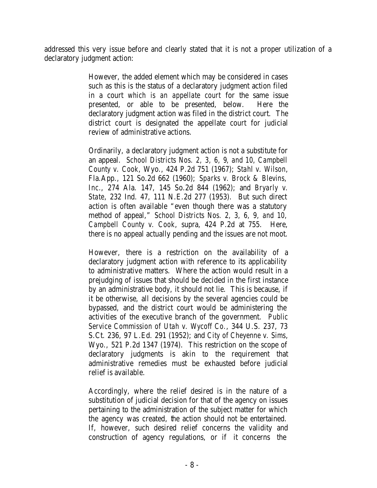addressed this very issue before and clearly stated that it is not a proper utilization of a declaratory judgment action:

> However, the added element which may be considered in cases such as this is the status of a declaratory judgment action filed in a court *which is an appellate court* for the same issue presented, or able to be presented, below. Here the declaratory judgment action was filed in the district court. The district court is designated the appellate court for judicial review of administrative actions.

> Ordinarily, a declaratory judgment action is not a substitute for an appeal. *School Districts Nos. 2, 3, 6, 9, and 10, Campbell County v. Cook*, Wyo., 424 P.2d 751 (1967); *Stahl v. Wilson*, Fla.App., 121 So.2d 662 (1960); *Sparks v. Brock & Blevins, Inc.*, 274 Ala. 147, 145 So.2d 844 (1962); and *Bryarly v. State*, 232 Ind. 47, 111 N.E.2d 277 (1953). But such direct action is often available "even though there was a statutory method of appeal," *School Districts Nos. 2, 3, 6, 9, and 10, Campbell County v. Cook*, supra, 424 P.2d at 755. Here, there is no appeal actually pending and the issues are not moot.

> However, there is a restriction on the availability of a declaratory judgment action with reference to its applicability to administrative matters. Where the action would result in a prejudging of issues that should be decided in the first instance by an administrative body, it should not lie. This is because, if it be otherwise, all decisions by the several agencies could be bypassed, and the district court would be administering the activities of the executive branch of the government. *Public Service Commission of Utah v. Wycoff Co.*, 344 U.S. 237, 73 S.Ct. 236, 97 L.Ed. 291 (1952); and *City of Cheyenne v. Sims*, Wyo., 521 P.2d 1347 (1974). This restriction on the scope of declaratory judgments is akin to the requirement that administrative remedies must be exhausted before judicial relief is available.

> Accordingly, where the relief desired is in the nature of a substitution of judicial decision for that of the agency on issues pertaining to the administration of the subject matter for which the agency was created, the action should not be entertained. If, however, such desired relief concerns the validity and construction of agency regulations, or if it concerns the